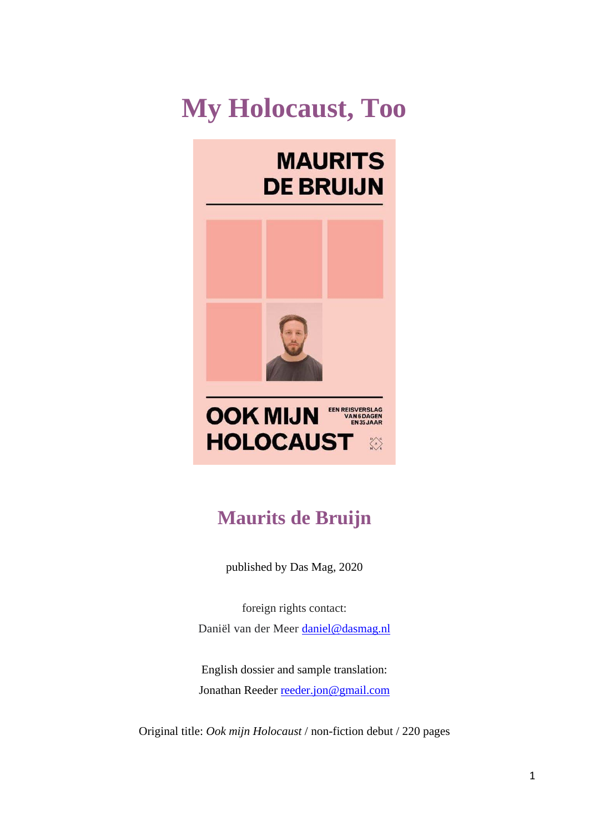# **My Holocaust, Too**



## **Maurits de Bruijn**

published by Das Mag, 2020

foreign rights contact: Daniël van der Meer [daniel@dasmag.nl](mailto:daniel@dasmag.nl)

English dossier and sample translation: Jonathan Reeder [reeder.jon@gmail.com](https://d.docs.live.net/2a05304b18c418bf/Bureaublad/Current%20translation%20work/Het%20lichtschip/reeder.jon@gmail.com)

Original title: *Ook mijn Holocaust* / non-fiction debut / 220 pages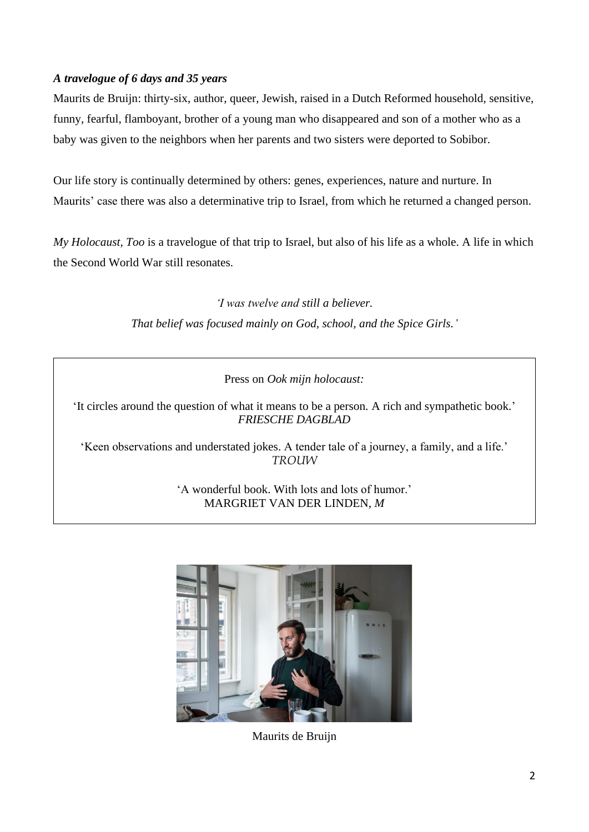### *A travelogue of 6 days and 35 years*

Maurits de Bruijn: thirty-six, author, queer, Jewish, raised in a Dutch Reformed household, sensitive, funny, fearful, flamboyant, brother of a young man who disappeared and son of a mother who as a baby was given to the neighbors when her parents and two sisters were deported to Sobibor.

Our life story is continually determined by others: genes, experiences, nature and nurture. In Maurits' case there was also a determinative trip to Israel, from which he returned a changed person.

*My Holocaust, Too* is a travelogue of that trip to Israel, but also of his life as a whole. A life in which the Second World War still resonates.

> *'I was twelve and still a believer. That belief was focused mainly on God, school, and the Spice Girls.'*

> > Press on *Ook mijn holocaust:*

'It circles around the question of what it means to be a person. A rich and sympathetic book.' *FRIESCHE DAGBLAD*

'Keen observations and understated jokes. A tender tale of a journey, a family, and a life.' *TROUW*

> 'A wonderful book. With lots and lots of humor.' MARGRIET VAN DER LINDEN, *M*



Maurits de Bruijn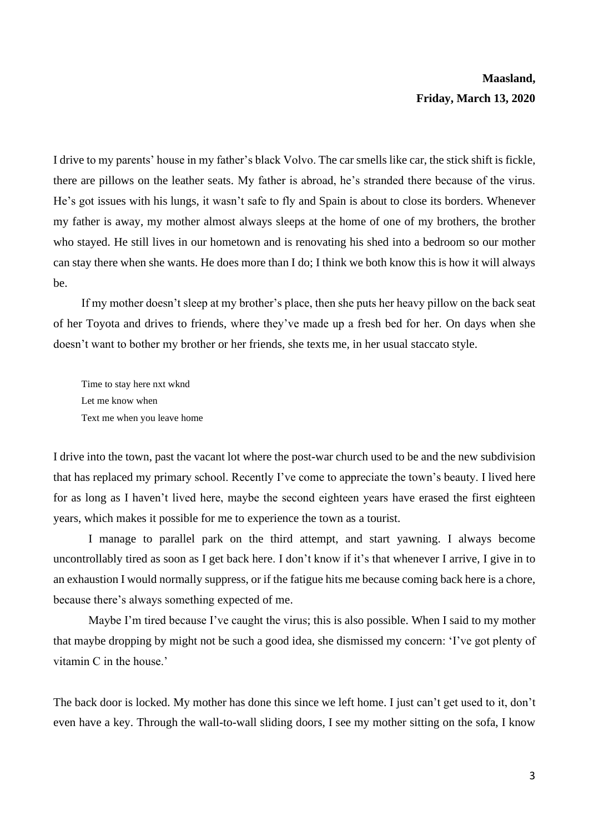I drive to my parents' house in my father's black Volvo. The car smells like car, the stick shift is fickle, there are pillows on the leather seats. My father is abroad, he's stranded there because of the virus. He's got issues with his lungs, it wasn't safe to fly and Spain is about to close its borders. Whenever my father is away, my mother almost always sleeps at the home of one of my brothers, the brother who stayed. He still lives in our hometown and is renovating his shed into a bedroom so our mother can stay there when she wants. He does more than I do; I think we both know this is how it will always be.

If my mother doesn't sleep at my brother's place, then she puts her heavy pillow on the back seat of her Toyota and drives to friends, where they've made up a fresh bed for her. On days when she doesn't want to bother my brother or her friends, she texts me, in her usual staccato style.

Time to stay here nxt wknd Let me know when Text me when you leave home

I drive into the town, past the vacant lot where the post-war church used to be and the new subdivision that has replaced my primary school. Recently I've come to appreciate the town's beauty. I lived here for as long as I haven't lived here, maybe the second eighteen years have erased the first eighteen years, which makes it possible for me to experience the town as a tourist.

I manage to parallel park on the third attempt, and start yawning. I always become uncontrollably tired as soon as I get back here. I don't know if it's that whenever I arrive, I give in to an exhaustion I would normally suppress, or if the fatigue hits me because coming back here is a chore, because there's always something expected of me.

Maybe I'm tired because I've caught the virus; this is also possible. When I said to my mother that maybe dropping by might not be such a good idea, she dismissed my concern: 'I've got plenty of vitamin C in the house.'

The back door is locked. My mother has done this since we left home. I just can't get used to it, don't even have a key. Through the wall-to-wall sliding doors, I see my mother sitting on the sofa, I know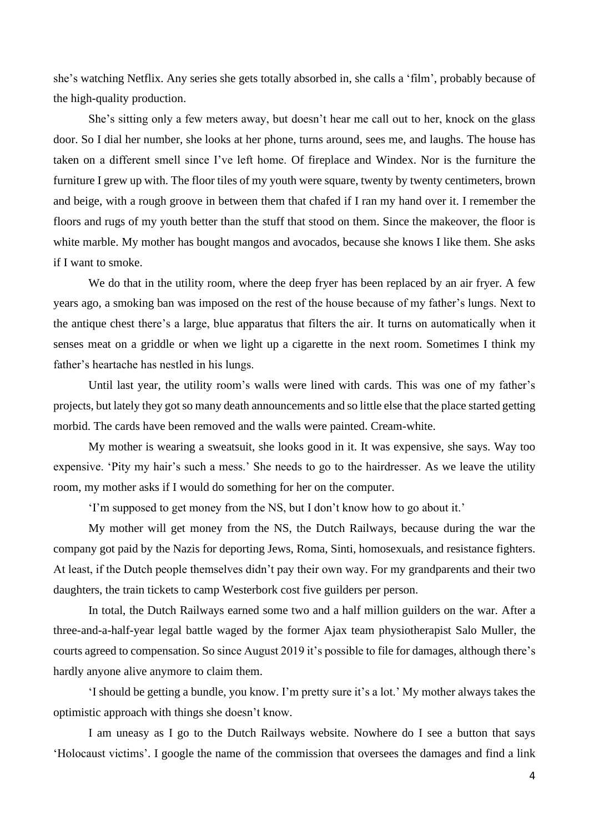she's watching Netflix. Any series she gets totally absorbed in, she calls a 'film', probably because of the high-quality production.

She's sitting only a few meters away, but doesn't hear me call out to her, knock on the glass door. So I dial her number, she looks at her phone, turns around, sees me, and laughs. The house has taken on a different smell since I've left home. Of fireplace and Windex. Nor is the furniture the furniture I grew up with. The floor tiles of my youth were square, twenty by twenty centimeters, brown and beige, with a rough groove in between them that chafed if I ran my hand over it. I remember the floors and rugs of my youth better than the stuff that stood on them. Since the makeover, the floor is white marble. My mother has bought mangos and avocados, because she knows I like them. She asks if I want to smoke.

We do that in the utility room, where the deep fryer has been replaced by an air fryer. A few years ago, a smoking ban was imposed on the rest of the house because of my father's lungs. Next to the antique chest there's a large, blue apparatus that filters the air. It turns on automatically when it senses meat on a griddle or when we light up a cigarette in the next room. Sometimes I think my father's heartache has nestled in his lungs.

Until last year, the utility room's walls were lined with cards. This was one of my father's projects, but lately they got so many death announcements and so little else that the place started getting morbid. The cards have been removed and the walls were painted. Cream-white.

My mother is wearing a sweatsuit, she looks good in it. It was expensive, she says. Way too expensive. 'Pity my hair's such a mess.' She needs to go to the hairdresser. As we leave the utility room, my mother asks if I would do something for her on the computer.

'I'm supposed to get money from the NS, but I don't know how to go about it.'

My mother will get money from the NS, the Dutch Railways, because during the war the company got paid by the Nazis for deporting Jews, Roma, Sinti, homosexuals, and resistance fighters. At least, if the Dutch people themselves didn't pay their own way. For my grandparents and their two daughters, the train tickets to camp Westerbork cost five guilders per person.

In total, the Dutch Railways earned some two and a half million guilders on the war. After a three-and-a-half-year legal battle waged by the former Ajax team physiotherapist Salo Muller, the courts agreed to compensation. So since August 2019 it's possible to file for damages, although there's hardly anyone alive anymore to claim them.

'I should be getting a bundle, you know. I'm pretty sure it's a lot.' My mother always takes the optimistic approach with things she doesn't know.

I am uneasy as I go to the Dutch Railways website. Nowhere do I see a button that says 'Holocaust victims'. I google the name of the commission that oversees the damages and find a link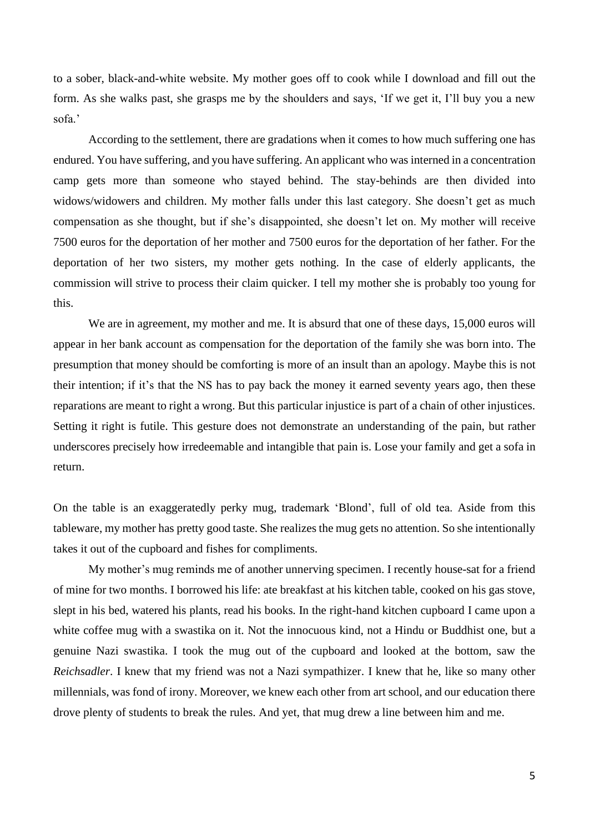to a sober, black-and-white website. My mother goes off to cook while I download and fill out the form. As she walks past, she grasps me by the shoulders and says, 'If we get it, I'll buy you a new sofa.'

According to the settlement, there are gradations when it comes to how much suffering one has endured. You have suffering, and you have suffering. An applicant who was interned in a concentration camp gets more than someone who stayed behind. The stay-behinds are then divided into widows/widowers and children. My mother falls under this last category. She doesn't get as much compensation as she thought, but if she's disappointed, she doesn't let on. My mother will receive 7500 euros for the deportation of her mother and 7500 euros for the deportation of her father. For the deportation of her two sisters, my mother gets nothing. In the case of elderly applicants, the commission will strive to process their claim quicker. I tell my mother she is probably too young for this.

We are in agreement, my mother and me. It is absurd that one of these days, 15,000 euros will appear in her bank account as compensation for the deportation of the family she was born into. The presumption that money should be comforting is more of an insult than an apology. Maybe this is not their intention; if it's that the NS has to pay back the money it earned seventy years ago, then these reparations are meant to right a wrong. But this particular injustice is part of a chain of other injustices. Setting it right is futile. This gesture does not demonstrate an understanding of the pain, but rather underscores precisely how irredeemable and intangible that pain is. Lose your family and get a sofa in return.

On the table is an exaggeratedly perky mug, trademark 'Blond', full of old tea. Aside from this tableware, my mother has pretty good taste. She realizes the mug gets no attention. So she intentionally takes it out of the cupboard and fishes for compliments.

My mother's mug reminds me of another unnerving specimen. I recently house-sat for a friend of mine for two months. I borrowed his life: ate breakfast at his kitchen table, cooked on his gas stove, slept in his bed, watered his plants, read his books. In the right-hand kitchen cupboard I came upon a white coffee mug with a swastika on it. Not the innocuous kind, not a Hindu or Buddhist one, but a genuine Nazi swastika. I took the mug out of the cupboard and looked at the bottom, saw the *Reichsadler*. I knew that my friend was not a Nazi sympathizer. I knew that he, like so many other millennials, was fond of irony. Moreover, we knew each other from art school, and our education there drove plenty of students to break the rules. And yet, that mug drew a line between him and me.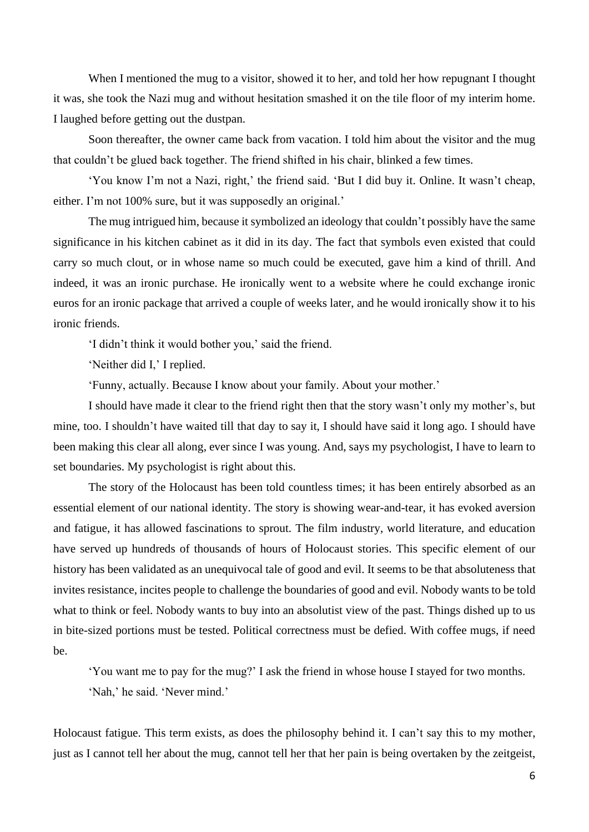When I mentioned the mug to a visitor, showed it to her, and told her how repugnant I thought it was, she took the Nazi mug and without hesitation smashed it on the tile floor of my interim home. I laughed before getting out the dustpan.

Soon thereafter, the owner came back from vacation. I told him about the visitor and the mug that couldn't be glued back together. The friend shifted in his chair, blinked a few times.

'You know I'm not a Nazi, right,' the friend said. 'But I did buy it. Online. It wasn't cheap, either. I'm not 100% sure, but it was supposedly an original.'

The mug intrigued him, because it symbolized an ideology that couldn't possibly have the same significance in his kitchen cabinet as it did in its day. The fact that symbols even existed that could carry so much clout, or in whose name so much could be executed, gave him a kind of thrill. And indeed, it was an ironic purchase. He ironically went to a website where he could exchange ironic euros for an ironic package that arrived a couple of weeks later, and he would ironically show it to his ironic friends.

'I didn't think it would bother you,' said the friend.

'Neither did I,' I replied.

'Funny, actually. Because I know about your family. About your mother.'

I should have made it clear to the friend right then that the story wasn't only my mother's, but mine, too. I shouldn't have waited till that day to say it, I should have said it long ago. I should have been making this clear all along, ever since I was young. And, says my psychologist, I have to learn to set boundaries. My psychologist is right about this.

The story of the Holocaust has been told countless times; it has been entirely absorbed as an essential element of our national identity. The story is showing wear-and-tear, it has evoked aversion and fatigue, it has allowed fascinations to sprout. The film industry, world literature, and education have served up hundreds of thousands of hours of Holocaust stories. This specific element of our history has been validated as an unequivocal tale of good and evil. It seems to be that absoluteness that invites resistance, incites people to challenge the boundaries of good and evil. Nobody wants to be told what to think or feel. Nobody wants to buy into an absolutist view of the past. Things dished up to us in bite-sized portions must be tested. Political correctness must be defied. With coffee mugs, if need be.

'You want me to pay for the mug?' I ask the friend in whose house I stayed for two months. 'Nah,' he said. 'Never mind.'

Holocaust fatigue. This term exists, as does the philosophy behind it. I can't say this to my mother, just as I cannot tell her about the mug, cannot tell her that her pain is being overtaken by the zeitgeist,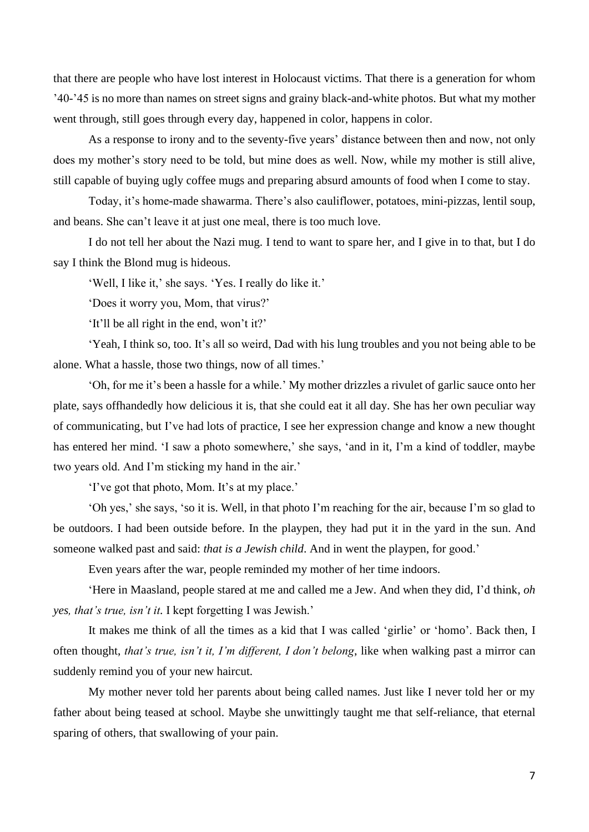that there are people who have lost interest in Holocaust victims. That there is a generation for whom '40-'45 is no more than names on street signs and grainy black-and-white photos. But what my mother went through, still goes through every day, happened in color, happens in color.

As a response to irony and to the seventy-five years' distance between then and now, not only does my mother's story need to be told, but mine does as well. Now, while my mother is still alive, still capable of buying ugly coffee mugs and preparing absurd amounts of food when I come to stay.

Today, it's home-made shawarma. There's also cauliflower, potatoes, mini-pizzas, lentil soup, and beans. She can't leave it at just one meal, there is too much love.

I do not tell her about the Nazi mug. I tend to want to spare her, and I give in to that, but I do say I think the Blond mug is hideous.

'Well, I like it,' she says. 'Yes. I really do like it.'

'Does it worry you, Mom, that virus?'

'It'll be all right in the end, won't it?'

'Yeah, I think so, too. It's all so weird, Dad with his lung troubles and you not being able to be alone. What a hassle, those two things, now of all times.'

'Oh, for me it's been a hassle for a while.' My mother drizzles a rivulet of garlic sauce onto her plate, says offhandedly how delicious it is, that she could eat it all day. She has her own peculiar way of communicating, but I've had lots of practice, I see her expression change and know a new thought has entered her mind. 'I saw a photo somewhere,' she says, 'and in it, I'm a kind of toddler, maybe two years old. And I'm sticking my hand in the air.'

'I've got that photo, Mom. It's at my place.'

'Oh yes,' she says, 'so it is. Well, in that photo I'm reaching for the air, because I'm so glad to be outdoors. I had been outside before. In the playpen, they had put it in the yard in the sun. And someone walked past and said: *that is a Jewish child*. And in went the playpen, for good.'

Even years after the war, people reminded my mother of her time indoors.

'Here in Maasland, people stared at me and called me a Jew. And when they did, I'd think, *oh yes, that's true, isn't it.* I kept forgetting I was Jewish.'

It makes me think of all the times as a kid that I was called 'girlie' or 'homo'. Back then, I often thought, *that's true, isn't it, I'm different, I don't belong*, like when walking past a mirror can suddenly remind you of your new haircut.

My mother never told her parents about being called names. Just like I never told her or my father about being teased at school. Maybe she unwittingly taught me that self-reliance, that eternal sparing of others, that swallowing of your pain.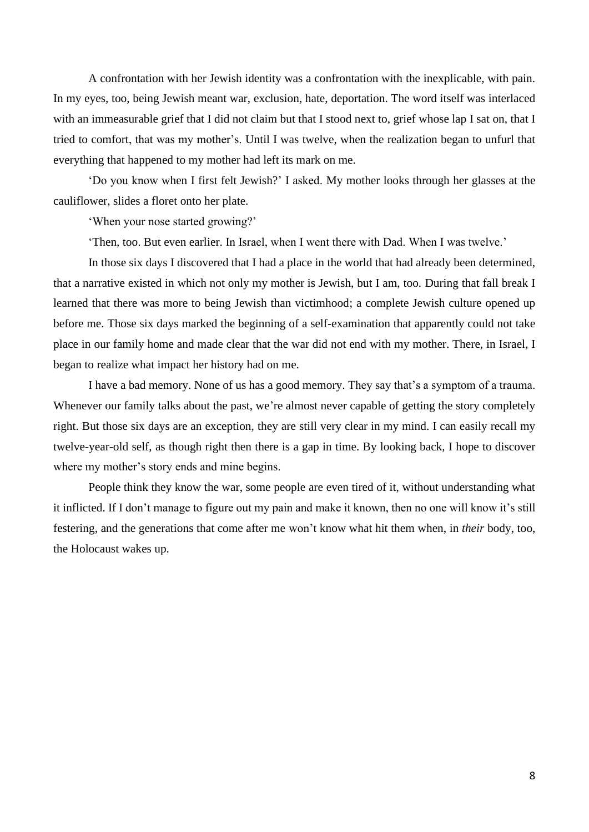A confrontation with her Jewish identity was a confrontation with the inexplicable, with pain. In my eyes, too, being Jewish meant war, exclusion, hate, deportation. The word itself was interlaced with an immeasurable grief that I did not claim but that I stood next to, grief whose lap I sat on, that I tried to comfort, that was my mother's. Until I was twelve, when the realization began to unfurl that everything that happened to my mother had left its mark on me.

'Do you know when I first felt Jewish?' I asked. My mother looks through her glasses at the cauliflower, slides a floret onto her plate.

'When your nose started growing?'

'Then, too. But even earlier. In Israel, when I went there with Dad. When I was twelve.'

In those six days I discovered that I had a place in the world that had already been determined, that a narrative existed in which not only my mother is Jewish, but I am, too. During that fall break I learned that there was more to being Jewish than victimhood; a complete Jewish culture opened up before me. Those six days marked the beginning of a self-examination that apparently could not take place in our family home and made clear that the war did not end with my mother. There, in Israel, I began to realize what impact her history had on me.

I have a bad memory. None of us has a good memory. They say that's a symptom of a trauma. Whenever our family talks about the past, we're almost never capable of getting the story completely right. But those six days are an exception, they are still very clear in my mind. I can easily recall my twelve-year-old self, as though right then there is a gap in time. By looking back, I hope to discover where my mother's story ends and mine begins.

People think they know the war, some people are even tired of it, without understanding what it inflicted. If I don't manage to figure out my pain and make it known, then no one will know it's still festering, and the generations that come after me won't know what hit them when, in *their* body, too, the Holocaust wakes up.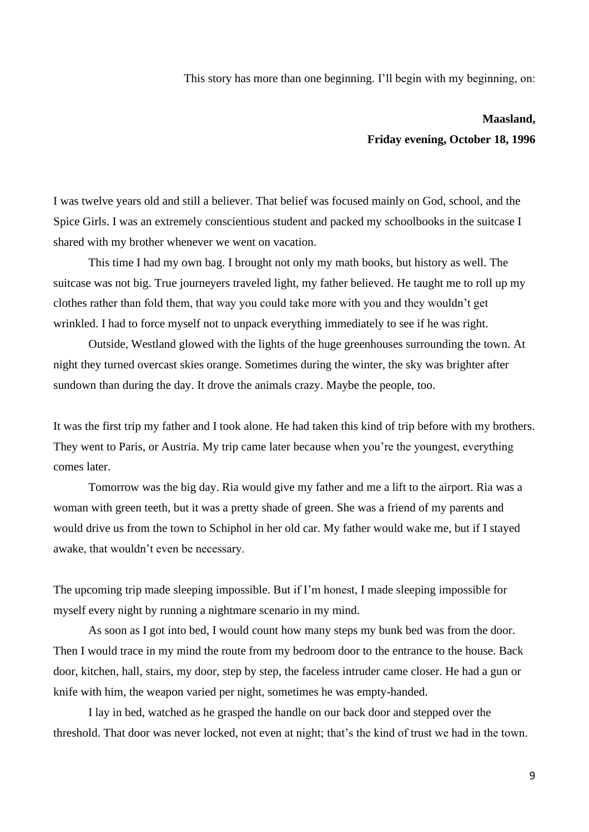This story has more than one beginning. I'll begin with my beginning, on:

## **Maasland, Friday evening, October 18, 1996**

I was twelve years old and still a believer. That belief was focused mainly on God, school, and the Spice Girls. I was an extremely conscientious student and packed my schoolbooks in the suitcase I shared with my brother whenever we went on vacation.

This time I had my own bag. I brought not only my math books, but history as well. The suitcase was not big. True journeyers traveled light, my father believed. He taught me to roll up my clothes rather than fold them, that way you could take more with you and they wouldn't get wrinkled. I had to force myself not to unpack everything immediately to see if he was right.

Outside, Westland glowed with the lights of the huge greenhouses surrounding the town. At night they turned overcast skies orange. Sometimes during the winter, the sky was brighter after sundown than during the day. It drove the animals crazy. Maybe the people, too.

It was the first trip my father and I took alone. He had taken this kind of trip before with my brothers. They went to Paris, or Austria. My trip came later because when you're the youngest, everything comes later.

Tomorrow was the big day. Ria would give my father and me a lift to the airport. Ria was a woman with green teeth, but it was a pretty shade of green. She was a friend of my parents and would drive us from the town to Schiphol in her old car. My father would wake me, but if I stayed awake, that wouldn't even be necessary.

The upcoming trip made sleeping impossible. But if I'm honest, I made sleeping impossible for myself every night by running a nightmare scenario in my mind.

As soon as I got into bed, I would count how many steps my bunk bed was from the door. Then I would trace in my mind the route from my bedroom door to the entrance to the house. Back door, kitchen, hall, stairs, my door, step by step, the faceless intruder came closer. He had a gun or knife with him, the weapon varied per night, sometimes he was empty-handed.

I lay in bed, watched as he grasped the handle on our back door and stepped over the threshold. That door was never locked, not even at night; that's the kind of trust we had in the town.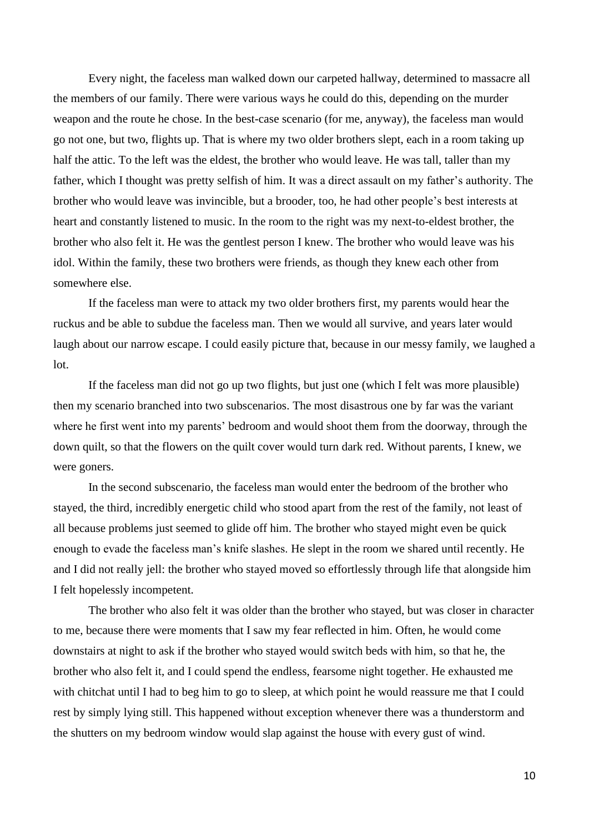Every night, the faceless man walked down our carpeted hallway, determined to massacre all the members of our family. There were various ways he could do this, depending on the murder weapon and the route he chose. In the best-case scenario (for me, anyway), the faceless man would go not one, but two, flights up. That is where my two older brothers slept, each in a room taking up half the attic. To the left was the eldest, the brother who would leave. He was tall, taller than my father, which I thought was pretty selfish of him. It was a direct assault on my father's authority. The brother who would leave was invincible, but a brooder, too, he had other people's best interests at heart and constantly listened to music. In the room to the right was my next-to-eldest brother, the brother who also felt it. He was the gentlest person I knew. The brother who would leave was his idol. Within the family, these two brothers were friends, as though they knew each other from somewhere else.

If the faceless man were to attack my two older brothers first, my parents would hear the ruckus and be able to subdue the faceless man. Then we would all survive, and years later would laugh about our narrow escape. I could easily picture that, because in our messy family, we laughed a lot.

If the faceless man did not go up two flights, but just one (which I felt was more plausible) then my scenario branched into two subscenarios. The most disastrous one by far was the variant where he first went into my parents' bedroom and would shoot them from the doorway, through the down quilt, so that the flowers on the quilt cover would turn dark red. Without parents, I knew, we were goners.

In the second subscenario, the faceless man would enter the bedroom of the brother who stayed, the third, incredibly energetic child who stood apart from the rest of the family, not least of all because problems just seemed to glide off him. The brother who stayed might even be quick enough to evade the faceless man's knife slashes. He slept in the room we shared until recently. He and I did not really jell: the brother who stayed moved so effortlessly through life that alongside him I felt hopelessly incompetent.

The brother who also felt it was older than the brother who stayed, but was closer in character to me, because there were moments that I saw my fear reflected in him. Often, he would come downstairs at night to ask if the brother who stayed would switch beds with him, so that he, the brother who also felt it, and I could spend the endless, fearsome night together. He exhausted me with chitchat until I had to beg him to go to sleep, at which point he would reassure me that I could rest by simply lying still. This happened without exception whenever there was a thunderstorm and the shutters on my bedroom window would slap against the house with every gust of wind.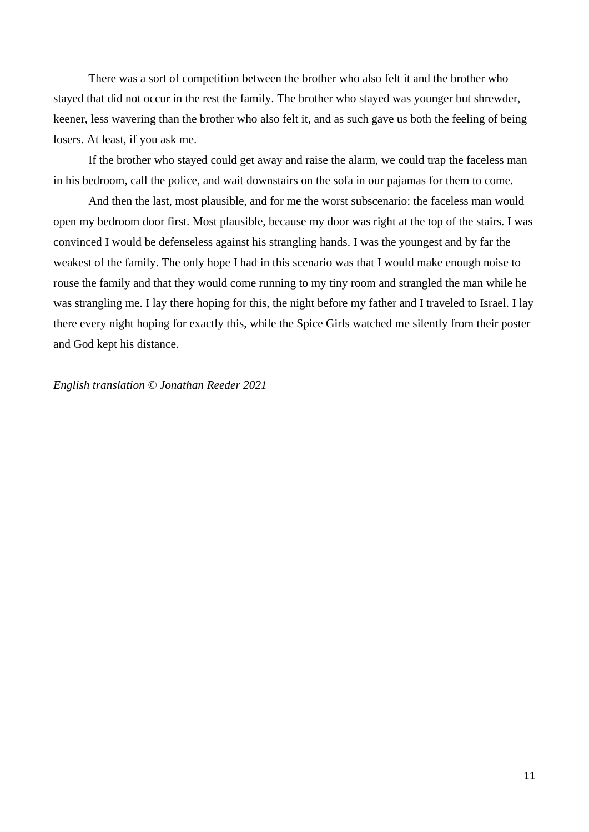There was a sort of competition between the brother who also felt it and the brother who stayed that did not occur in the rest the family. The brother who stayed was younger but shrewder, keener, less wavering than the brother who also felt it, and as such gave us both the feeling of being losers. At least, if you ask me.

If the brother who stayed could get away and raise the alarm, we could trap the faceless man in his bedroom, call the police, and wait downstairs on the sofa in our pajamas for them to come.

And then the last, most plausible, and for me the worst subscenario: the faceless man would open my bedroom door first. Most plausible, because my door was right at the top of the stairs. I was convinced I would be defenseless against his strangling hands. I was the youngest and by far the weakest of the family. The only hope I had in this scenario was that I would make enough noise to rouse the family and that they would come running to my tiny room and strangled the man while he was strangling me. I lay there hoping for this, the night before my father and I traveled to Israel. I lay there every night hoping for exactly this, while the Spice Girls watched me silently from their poster and God kept his distance.

#### *English translation © Jonathan Reeder 2021*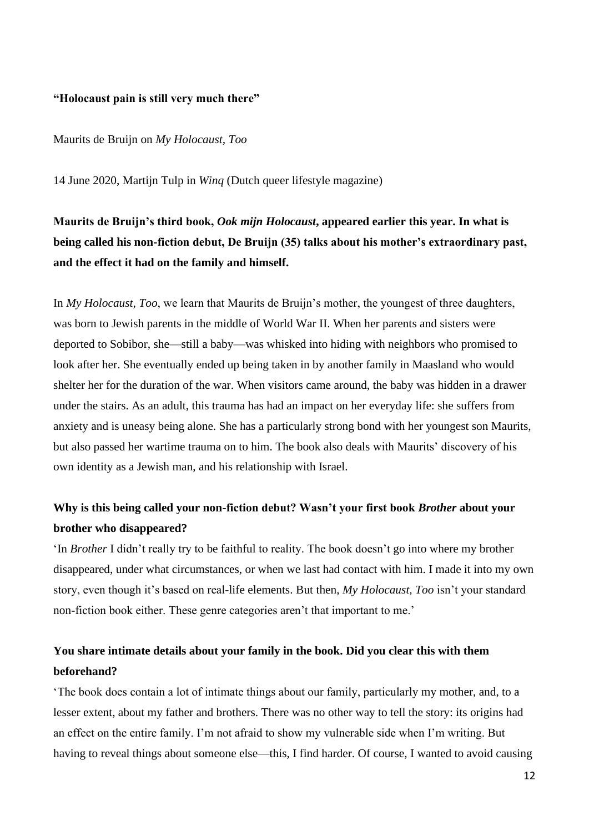#### **"Holocaust pain is still very much there"**

Maurits de Bruijn on *My Holocaust, Too*

14 June 2020, Martijn Tulp in *Winq* (Dutch queer lifestyle magazine)

**Maurits de Bruijn's third book,** *Ook mijn Holocaust***, appeared earlier this year. In what is being called his non-fiction debut, De Bruijn (35) talks about his mother's extraordinary past, and the effect it had on the family and himself.**

In *My Holocaust, Too*, we learn that Maurits de Bruijn's mother, the youngest of three daughters, was born to Jewish parents in the middle of World War II. When her parents and sisters were deported to Sobibor, she—still a baby—was whisked into hiding with neighbors who promised to look after her. She eventually ended up being taken in by another family in Maasland who would shelter her for the duration of the war. When visitors came around, the baby was hidden in a drawer under the stairs. As an adult, this trauma has had an impact on her everyday life: she suffers from anxiety and is uneasy being alone. She has a particularly strong bond with her youngest son Maurits, but also passed her wartime trauma on to him. The book also deals with Maurits' discovery of his own identity as a Jewish man, and his relationship with Israel.

## **Why is this being called your non-fiction debut? Wasn't your first book** *Brother* **about your brother who disappeared?**

'In *Brother* I didn't really try to be faithful to reality. The book doesn't go into where my brother disappeared, under what circumstances, or when we last had contact with him. I made it into my own story, even though it's based on real-life elements. But then, *My Holocaust, Too* isn't your standard non-fiction book either. These genre categories aren't that important to me.'

## **You share intimate details about your family in the book. Did you clear this with them beforehand?**

'The book does contain a lot of intimate things about our family, particularly my mother, and, to a lesser extent, about my father and brothers. There was no other way to tell the story: its origins had an effect on the entire family. I'm not afraid to show my vulnerable side when I'm writing. But having to reveal things about someone else—this, I find harder. Of course, I wanted to avoid causing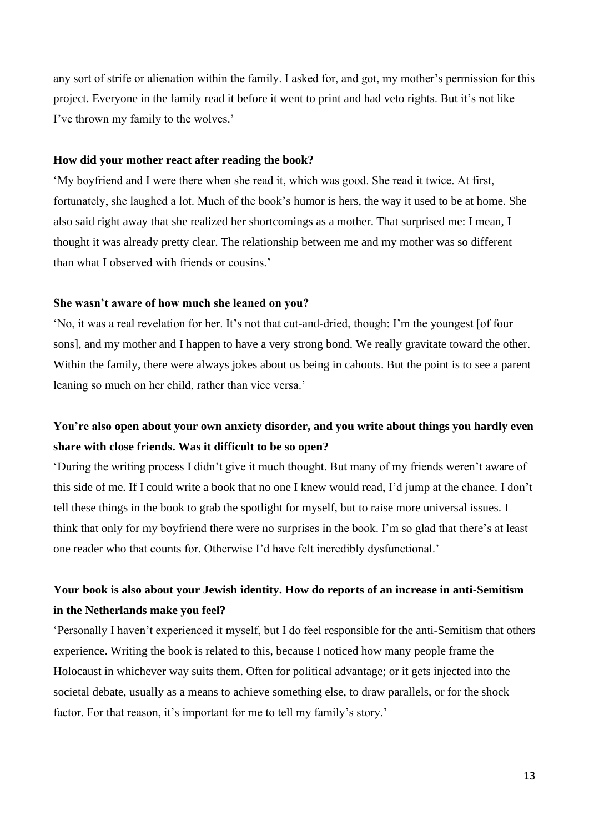any sort of strife or alienation within the family. I asked for, and got, my mother's permission for this project. Everyone in the family read it before it went to print and had veto rights. But it's not like I've thrown my family to the wolves.'

#### **How did your mother react after reading the book?**

'My boyfriend and I were there when she read it, which was good. She read it twice. At first, fortunately, she laughed a lot. Much of the book's humor is hers, the way it used to be at home. She also said right away that she realized her shortcomings as a mother. That surprised me: I mean, I thought it was already pretty clear. The relationship between me and my mother was so different than what I observed with friends or cousins.'

#### **She wasn't aware of how much she leaned on you?**

'No, it was a real revelation for her. It's not that cut-and-dried, though: I'm the youngest [of four sons], and my mother and I happen to have a very strong bond. We really gravitate toward the other. Within the family, there were always jokes about us being in cahoots. But the point is to see a parent leaning so much on her child, rather than vice versa.'

## **You're also open about your own anxiety disorder, and you write about things you hardly even share with close friends. Was it difficult to be so open?**

'During the writing process I didn't give it much thought. But many of my friends weren't aware of this side of me. If I could write a book that no one I knew would read, I'd jump at the chance. I don't tell these things in the book to grab the spotlight for myself, but to raise more universal issues. I think that only for my boyfriend there were no surprises in the book. I'm so glad that there's at least one reader who that counts for. Otherwise I'd have felt incredibly dysfunctional.'

## **Your book is also about your Jewish identity. How do reports of an increase in anti-Semitism in the Netherlands make you feel?**

'Personally I haven't experienced it myself, but I do feel responsible for the anti-Semitism that others experience. Writing the book is related to this, because I noticed how many people frame the Holocaust in whichever way suits them. Often for political advantage; or it gets injected into the societal debate, usually as a means to achieve something else, to draw parallels, or for the shock factor. For that reason, it's important for me to tell my family's story.'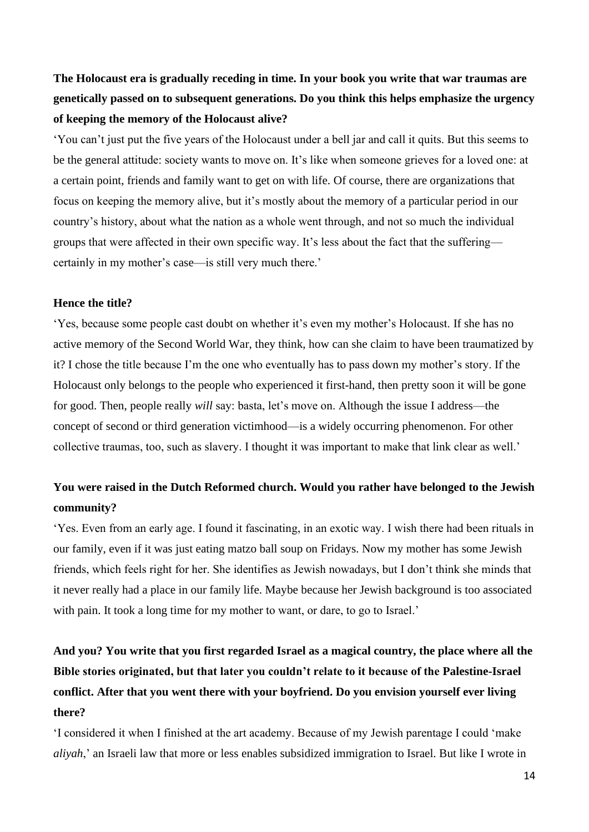## **The Holocaust era is gradually receding in time. In your book you write that war traumas are genetically passed on to subsequent generations. Do you think this helps emphasize the urgency of keeping the memory of the Holocaust alive?**

'You can't just put the five years of the Holocaust under a bell jar and call it quits. But this seems to be the general attitude: society wants to move on. It's like when someone grieves for a loved one: at a certain point, friends and family want to get on with life. Of course, there are organizations that focus on keeping the memory alive, but it's mostly about the memory of a particular period in our country's history, about what the nation as a whole went through, and not so much the individual groups that were affected in their own specific way. It's less about the fact that the suffering certainly in my mother's case—is still very much there.'

#### **Hence the title?**

'Yes, because some people cast doubt on whether it's even my mother's Holocaust. If she has no active memory of the Second World War, they think, how can she claim to have been traumatized by it? I chose the title because I'm the one who eventually has to pass down my mother's story. If the Holocaust only belongs to the people who experienced it first-hand, then pretty soon it will be gone for good. Then, people really *will* say: basta, let's move on. Although the issue I address—the concept of second or third generation victimhood—is a widely occurring phenomenon. For other collective traumas, too, such as slavery. I thought it was important to make that link clear as well.'

## **You were raised in the Dutch Reformed church. Would you rather have belonged to the Jewish community?**

'Yes. Even from an early age. I found it fascinating, in an exotic way. I wish there had been rituals in our family, even if it was just eating matzo ball soup on Fridays. Now my mother has some Jewish friends, which feels right for her. She identifies as Jewish nowadays, but I don't think she minds that it never really had a place in our family life. Maybe because her Jewish background is too associated with pain. It took a long time for my mother to want, or dare, to go to Israel.'

## **And you? You write that you first regarded Israel as a magical country, the place where all the Bible stories originated, but that later you couldn't relate to it because of the Palestine-Israel conflict. After that you went there with your boyfriend. Do you envision yourself ever living there?**

'I considered it when I finished at the art academy. Because of my Jewish parentage I could 'make *aliyah*,' an Israeli law that more or less enables subsidized immigration to Israel. But like I wrote in